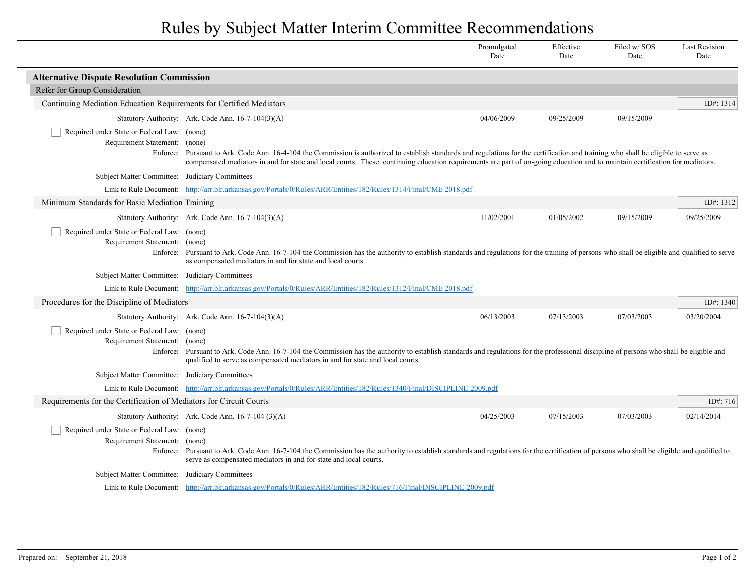## Rules by Subject Matter Interim Committee Recommendations

|                                                                                          |                                                                                                                                                                                                                                                                                                                                                                       | Promulgated<br>Date | Effective<br>Date | Filed w/SOS<br>Date | <b>Last Revision</b><br>Date |
|------------------------------------------------------------------------------------------|-----------------------------------------------------------------------------------------------------------------------------------------------------------------------------------------------------------------------------------------------------------------------------------------------------------------------------------------------------------------------|---------------------|-------------------|---------------------|------------------------------|
| <b>Alternative Dispute Resolution Commission</b>                                         |                                                                                                                                                                                                                                                                                                                                                                       |                     |                   |                     |                              |
| Refer for Group Consideration                                                            |                                                                                                                                                                                                                                                                                                                                                                       |                     |                   |                     |                              |
| Continuing Mediation Education Requirements for Certified Mediators                      |                                                                                                                                                                                                                                                                                                                                                                       |                     |                   |                     | ID#: 1314                    |
|                                                                                          | Statutory Authority: Ark. Code Ann. 16-7-104(3)(A)                                                                                                                                                                                                                                                                                                                    | 04/06/2009          | 09/25/2009        | 09/15/2009          |                              |
| Required under State or Federal Law: (none)<br>Requirement Statement: (none)             | Enforce: Pursuant to Ark. Code Ann. 16-4-104 the Commission is authorized to establish standards and regulations for the certification and training who shall be eligible to serve as<br>compensated mediators in and for state and local courts. These continuing education requirements are part of on-going education and to maintain certification for mediators. |                     |                   |                     |                              |
| Subject Matter Committee: Judiciary Committees                                           |                                                                                                                                                                                                                                                                                                                                                                       |                     |                   |                     |                              |
|                                                                                          | Link to Rule Document: http://arr.blr.arkansas.gov/Portals/0/Rules/ARR/Entities/182/Rules/1314/Final/CME 2018.pdf                                                                                                                                                                                                                                                     |                     |                   |                     |                              |
| Minimum Standards for Basic Mediation Training                                           |                                                                                                                                                                                                                                                                                                                                                                       |                     |                   |                     | ID#: 1312                    |
|                                                                                          | Statutory Authority: Ark. Code Ann. 16-7-104(3)(A)                                                                                                                                                                                                                                                                                                                    | 11/02/2001          | 01/05/2002        | 09/15/2009          | 09/25/2009                   |
| Required under State or Federal Law: (none)<br>Requirement Statement: (none)<br>Enforce: | Pursuant to Ark. Code Ann. 16-7-104 the Commission has the authority to establish standards and regulations for the training of persons who shall be eligible and qualified to serve<br>as compensated mediators in and for state and local courts.                                                                                                                   |                     |                   |                     |                              |
| Subject Matter Committee: Judiciary Committees                                           |                                                                                                                                                                                                                                                                                                                                                                       |                     |                   |                     |                              |
|                                                                                          | Link to Rule Document: http://arr.blr.arkansas.gov/Portals/0/Rules/ARR/Entities/182/Rules/1312/Final/CME 2018.pdf                                                                                                                                                                                                                                                     |                     |                   |                     |                              |
| Procedures for the Discipline of Mediators                                               |                                                                                                                                                                                                                                                                                                                                                                       |                     |                   |                     | ID#: 1340                    |
|                                                                                          | Statutory Authority: Ark. Code Ann. 16-7-104(3)(A)                                                                                                                                                                                                                                                                                                                    | 06/13/2003          | 07/13/2003        | 07/03/2003          | 03/20/2004                   |
| Required under State or Federal Law: (none)<br>Requirement Statement:                    | (none)<br>Enforce: Pursuant to Ark. Code Ann. 16-7-104 the Commission has the authority to establish standards and regulations for the professional discipline of persons who shall be eligible and<br>qualified to serve as compensated mediators in and for state and local courts.                                                                                 |                     |                   |                     |                              |
| Subject Matter Committee: Judiciary Committees                                           |                                                                                                                                                                                                                                                                                                                                                                       |                     |                   |                     |                              |
|                                                                                          | Link to Rule Document: http://arr.blr.arkansas.gov/Portals/0/Rules/ARR/Entities/182/Rules/1340/Final/DISCIPLINE-2009.pdf                                                                                                                                                                                                                                              |                     |                   |                     |                              |
| Requirements for the Certification of Mediators for Circuit Courts                       |                                                                                                                                                                                                                                                                                                                                                                       |                     |                   |                     | ID#: $716$                   |
|                                                                                          | Statutory Authority: Ark. Code Ann. 16-7-104 (3)(A)                                                                                                                                                                                                                                                                                                                   | 04/25/2003          | 07/15/2003        | 07/03/2003          | 02/14/2014                   |
| Required under State or Federal Law: (none)<br>Requirement Statement: (none)             | Enforce: Pursuant to Ark. Code Ann. 16-7-104 the Commission has the authority to establish standards and regulations for the certification of persons who shall be eligible and qualified to<br>serve as compensated mediators in and for state and local courts.                                                                                                     |                     |                   |                     |                              |
| Subject Matter Committee:                                                                | Judiciary Committees                                                                                                                                                                                                                                                                                                                                                  |                     |                   |                     |                              |
|                                                                                          | Link to Rule Document: http://arr.blr.arkansas.gov/Portals/0/Rules/ARR/Entities/182/Rules/716/Final/DISCIPLINE-2009.pdf                                                                                                                                                                                                                                               |                     |                   |                     |                              |